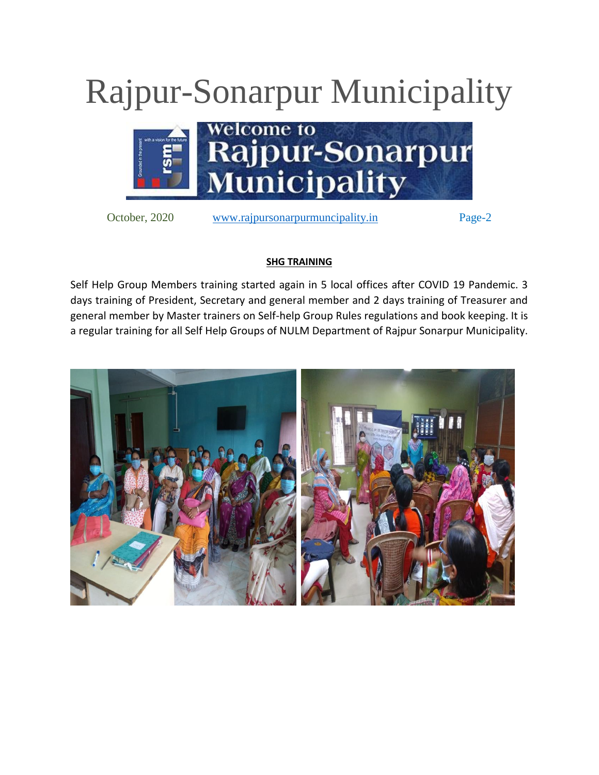## Rajpur-Sonarpur Municipality



October, 2020 [www.rajpursonarpurmuncipality.in](http://www.rajpursonarpurmuncipality.in/) Page-2

## **SHG TRAINING**

Self Help Group Members training started again in 5 local offices after COVID 19 Pandemic. 3 days training of President, Secretary and general member and 2 days training of Treasurer and general member by Master trainers on Self-help Group Rules regulations and book keeping. It is a regular training for all Self Help Groups of NULM Department of Rajpur Sonarpur Municipality.